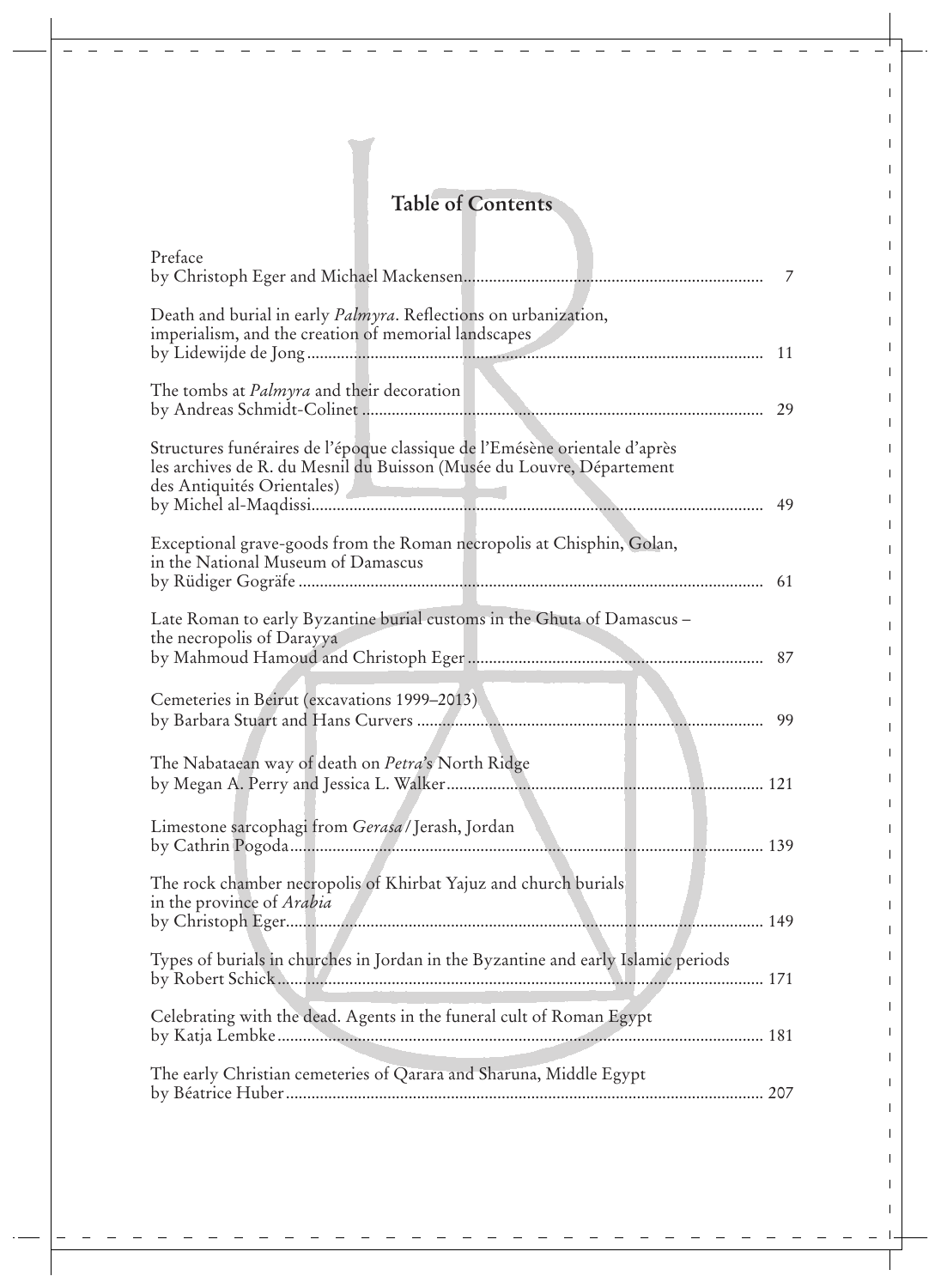## **Table of Contents**

| Preface                                                                                                                                                                           | 7  |
|-----------------------------------------------------------------------------------------------------------------------------------------------------------------------------------|----|
| Death and burial in early <i>Palmyra</i> . Reflections on urbanization,<br>imperialism, and the creation of memorial landscapes                                                   | 11 |
| The tombs at <i>Palmyra</i> and their decoration<br>by Andreas Schmidt-Colinet                                                                                                    | 29 |
| Structures funéraires de l'époque classique de l'Emésène orientale d'après<br>les archives de R. du Mesnil du Buisson (Musée du Louvre, Département<br>des Antiquités Orientales) | 49 |
| Exceptional grave-goods from the Roman necropolis at Chisphin, Golan,<br>in the National Museum of Damascus                                                                       | 61 |
| Late Roman to early Byzantine burial customs in the Ghuta of Damascus -<br>the necropolis of Darayya                                                                              | 87 |
| Cemeteries in Beirut (excavations 1999–2013)                                                                                                                                      | 99 |
| The Nabataean way of death on <i>Petra's</i> North Ridge                                                                                                                          |    |
| Limestone sarcophagi from Gerasa / Jerash, Jordan                                                                                                                                 |    |
| The rock chamber necropolis of Khirbat Yajuz and church burials<br>in the province of <i>Arabia</i>                                                                               |    |
| Types of burials in churches in Jordan in the Byzantine and early Islamic periods                                                                                                 |    |
| Celebrating with the dead. Agents in the funeral cult of Roman Egypt                                                                                                              |    |
| The early Christian cemeteries of Qarara and Sharuna, Middle Egypt                                                                                                                |    |